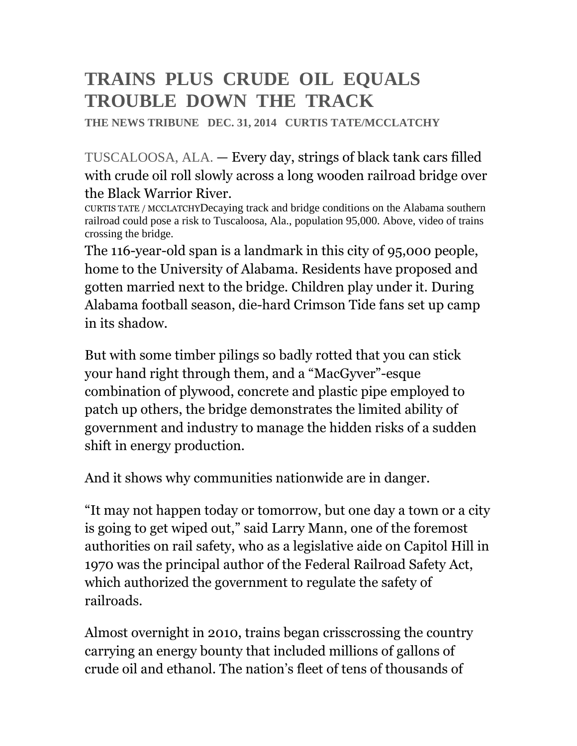### **TRAINS PLUS CRUDE OIL EQUALS TROUBLE DOWN THE TRACK**

**THE NEWS TRIBUNE DEC. 31, 2014 CURTIS TATE/MCCLATCHY** 

TUSCALOOSA, ALA. — Every day, strings of black tank cars filled with crude oil roll slowly across a long wooden railroad bridge over the Black Warrior River.

CURTIS TATE / MCCLATCHYDecaying track and bridge conditions on the Alabama southern railroad could pose a risk to Tuscaloosa, Ala., population 95,000. Above, video of trains crossing the bridge.

The 116-year-old span is a landmark in this city of 95,000 people, home to the University of Alabama. Residents have proposed and gotten married next to the bridge. Children play under it. During Alabama football season, die-hard Crimson Tide fans set up camp in its shadow.

But with some timber pilings so badly rotted that you can stick your hand right through them, and a "MacGyver"-esque combination of plywood, concrete and plastic pipe employed to patch up others, the bridge demonstrates the limited ability of government and industry to manage the hidden risks of a sudden shift in energy production.

And it shows why communities nationwide are in danger.

"It may not happen today or tomorrow, but one day a town or a city is going to get wiped out," said Larry Mann, one of the foremost authorities on rail safety, who as a legislative aide on Capitol Hill in 1970 was the principal author of the Federal Railroad Safety Act, which authorized the government to regulate the safety of railroads.

Almost overnight in 2010, trains began crisscrossing the country carrying an energy bounty that included millions of gallons of crude oil and ethanol. The nation's fleet of tens of thousands of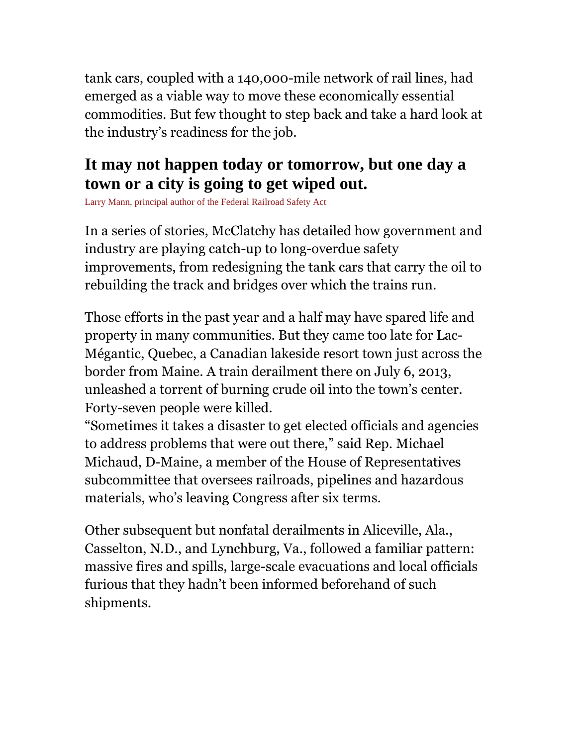tank cars, coupled with a 140,000-mile network of rail lines, had emerged as a viable way to move these economically essential commodities. But few thought to step back and take a hard look at the industry's readiness for the job.

#### **It may not happen today or tomorrow, but one day a town or a city is going to get wiped out.**

Larry Mann, principal author of the Federal Railroad Safety Act

In a series of stories, McClatchy has detailed how government and industry are playing catch-up to long-overdue safety improvements, from redesigning the tank cars that carry the oil to rebuilding the track and bridges over which the trains run.

Those efforts in the past year and a half may have spared life and property in many communities. But they came too late for Lac-Mégantic, Quebec, a Canadian lakeside resort town just across the border from Maine. A train derailment there on July 6, 2013, unleashed a torrent of burning crude oil into the town's center. Forty-seven people were killed.

"Sometimes it takes a disaster to get elected officials and agencies to address problems that were out there," said Rep. Michael Michaud, D-Maine, a member of the House of Representatives subcommittee that oversees railroads, pipelines and hazardous materials, who's leaving Congress after six terms.

Other subsequent but nonfatal derailments in Aliceville, Ala., Casselton, N.D., and Lynchburg, Va., followed a familiar pattern: massive fires and spills, large-scale evacuations and local officials furious that they hadn't been informed beforehand of such shipments.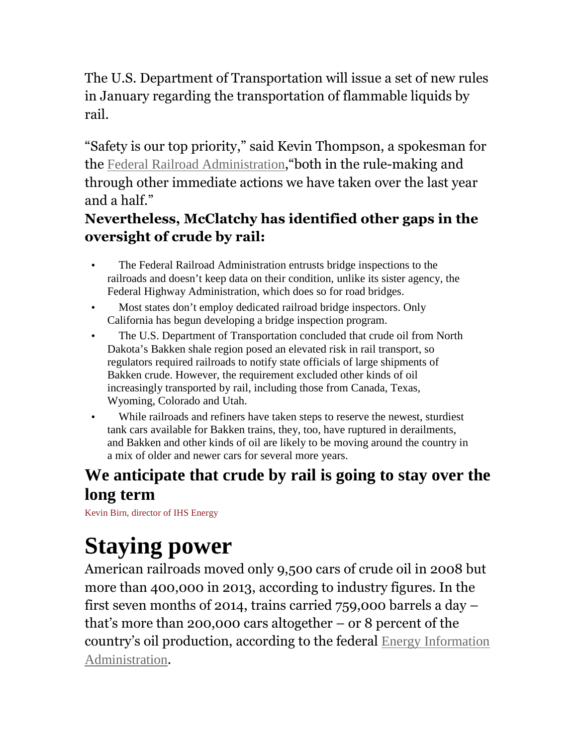The U.S. Department of Transportation will issue a set of new rules in January regarding the transportation of flammable liquids by rail.

"Safety is our top priority," said Kevin Thompson, a spokesman for the Federal Railroad Administration,"both in the rule-making and through other immediate actions we have taken over the last year and a half."

#### **Nevertheless, McClatchy has identified other gaps in the oversight of crude by rail:**

- The Federal Railroad Administration entrusts bridge inspections to the railroads and doesn't keep data on their condition, unlike its sister agency, the Federal Highway Administration, which does so for road bridges.
- Most states don't employ dedicated railroad bridge inspectors. Only California has begun developing a bridge inspection program.
- The U.S. Department of Transportation concluded that crude oil from North Dakota's Bakken shale region posed an elevated risk in rail transport, so regulators required railroads to notify state officials of large shipments of Bakken crude. However, the requirement excluded other kinds of oil increasingly transported by rail, including those from Canada, Texas, Wyoming, Colorado and Utah.
- While railroads and refiners have taken steps to reserve the newest, sturdiest tank cars available for Bakken trains, they, too, have ruptured in derailments, and Bakken and other kinds of oil are likely to be moving around the country in a mix of older and newer cars for several more years.

#### **We anticipate that crude by rail is going to stay over the long term**

Kevin Birn, director of IHS Energy

# **Staying power**

American railroads moved only 9,500 cars of crude oil in 2008 but more than 400,000 in 2013, according to industry figures. In the first seven months of 2014, trains carried 759,000 barrels a day – that's more than 200,000 cars altogether – or 8 percent of the country's oil production, according to the federal Energy Information Administration.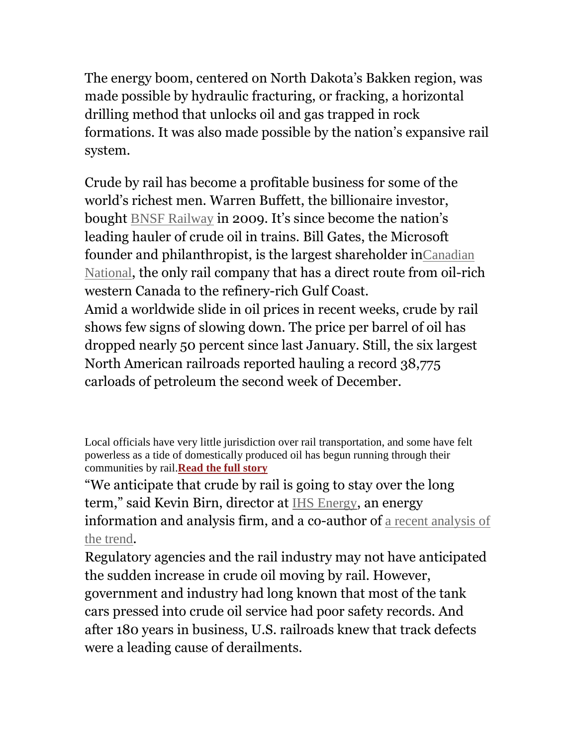The energy boom, centered on North Dakota's Bakken region, was made possible by hydraulic fracturing, or fracking, a horizontal drilling method that unlocks oil and gas trapped in rock formations. It was also made possible by the nation's expansive rail system.

Crude by rail has become a profitable business for some of the world's richest men. Warren Buffett, the billionaire investor, bought BNSF Railway in 2009. It's since become the nation's leading hauler of crude oil in trains. Bill Gates, the Microsoft founder and philanthropist, is the largest shareholder inCanadian National, the only rail company that has a direct route from oil-rich western Canada to the refinery-rich Gulf Coast. Amid a worldwide slide in oil prices in recent weeks, crude by rail shows few signs of slowing down. The price per barrel of oil has dropped nearly 50 percent since last January. Still, the six largest North American railroads reported hauling a record 38,775 carloads of petroleum the second week of December.

"We anticipate that crude by rail is going to stay over the long term," said Kevin Birn, director at IHS Energy, an energy information and analysis firm, and a co-author of a recent analysis of the trend.

Regulatory agencies and the rail industry may not have anticipated the sudden increase in crude oil moving by rail. However, government and industry had long known that most of the tank cars pressed into crude oil service had poor safety records. And after 180 years in business, U.S. railroads knew that track defects were a leading cause of derailments.

Local officials have very little jurisdiction over rail transportation, and some have felt powerless as a tide of domestically produced oil has begun running through their communities by rail.**Read the full story**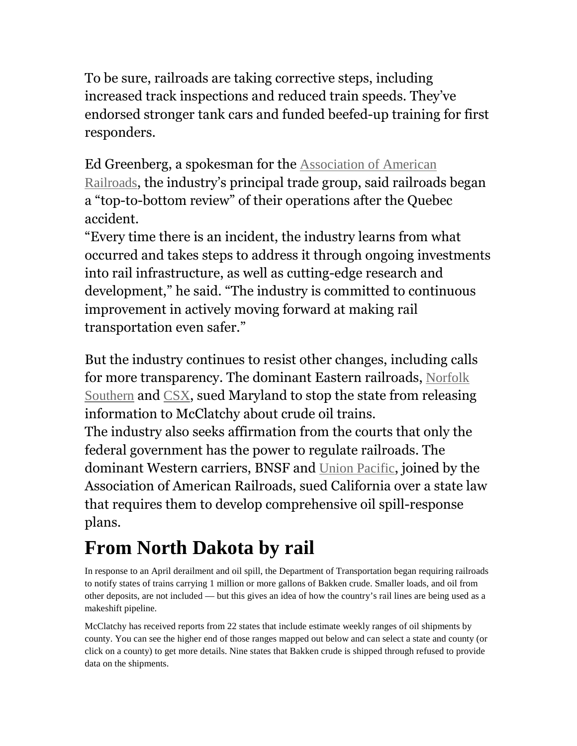To be sure, railroads are taking corrective steps, including increased track inspections and reduced train speeds. They've endorsed stronger tank cars and funded beefed-up training for first responders.

Ed Greenberg, a spokesman for the Association of American Railroads, the industry's principal trade group, said railroads began a "top-to-bottom review" of their operations after the Quebec accident.

"Every time there is an incident, the industry learns from what occurred and takes steps to address it through ongoing investments into rail infrastructure, as well as cutting-edge research and development," he said. "The industry is committed to continuous improvement in actively moving forward at making rail transportation even safer."

But the industry continues to resist other changes, including calls for more transparency. The dominant Eastern railroads, Norfolk Southern and CSX, sued Maryland to stop the state from releasing information to McClatchy about crude oil trains.

The industry also seeks affirmation from the courts that only the federal government has the power to regulate railroads. The dominant Western carriers, BNSF and Union Pacific, joined by the Association of American Railroads, sued California over a state law that requires them to develop comprehensive oil spill-response plans.

### **From North Dakota by rail**

In response to an April derailment and oil spill, the Department of Transportation began requiring railroads to notify states of trains carrying 1 million or more gallons of Bakken crude. Smaller loads, and oil from other deposits, are not included — but this gives an idea of how the country's rail lines are being used as a makeshift pipeline.

McClatchy has received reports from 22 states that include estimate weekly ranges of oil shipments by county. You can see the higher end of those ranges mapped out below and can select a state and county (or click on a county) to get more details. Nine states that Bakken crude is shipped through refused to provide data on the shipments.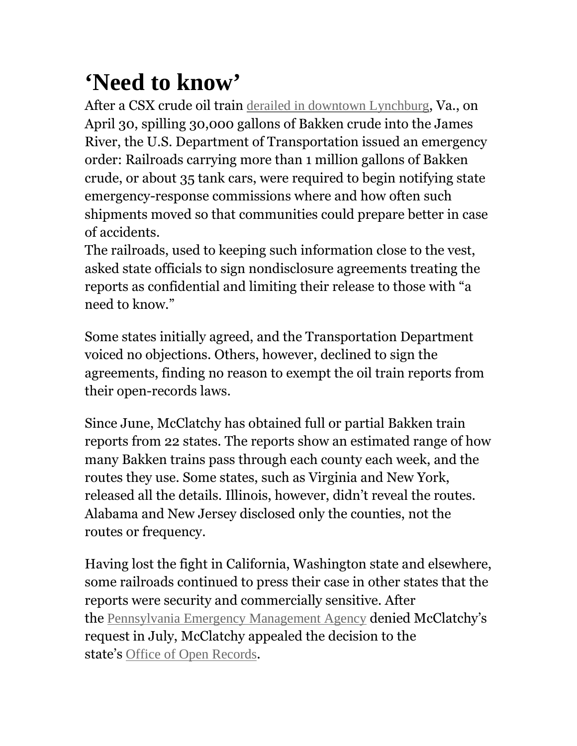## **'Need to know'**

After a CSX crude oil train derailed in downtown Lynchburg, Va., on April 30, spilling 30,000 gallons of Bakken crude into the James River, the U.S. Department of Transportation issued an emergency order: Railroads carrying more than 1 million gallons of Bakken crude, or about 35 tank cars, were required to begin notifying state emergency-response commissions where and how often such shipments moved so that communities could prepare better in case of accidents.

The railroads, used to keeping such information close to the vest, asked state officials to sign nondisclosure agreements treating the reports as confidential and limiting their release to those with "a need to know."

Some states initially agreed, and the Transportation Department voiced no objections. Others, however, declined to sign the agreements, finding no reason to exempt the oil train reports from their open-records laws.

Since June, McClatchy has obtained full or partial Bakken train reports from 22 states. The reports show an estimated range of how many Bakken trains pass through each county each week, and the routes they use. Some states, such as Virginia and New York, released all the details. Illinois, however, didn't reveal the routes. Alabama and New Jersey disclosed only the counties, not the routes or frequency.

Having lost the fight in California, Washington state and elsewhere, some railroads continued to press their case in other states that the reports were security and commercially sensitive. After the Pennsylvania Emergency Management Agency denied McClatchy's request in July, McClatchy appealed the decision to the state's Office of Open Records.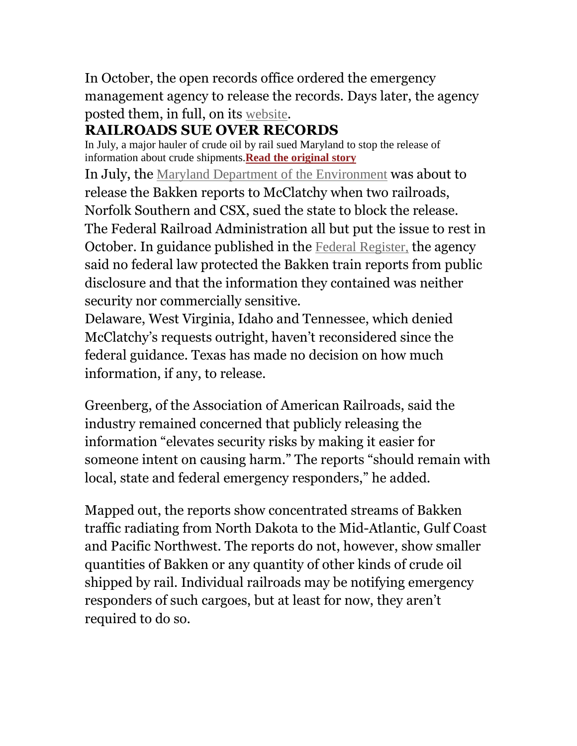In October, the open records office ordered the emergency management agency to release the records. Days later, the agency posted them, in full, on its website.

#### **RAILROADS SUE OVER RECORDS**

In July, a major hauler of crude oil by rail sued Maryland to stop the release of information about crude shipments.**Read the original story**

In July, the Maryland Department of the Environment was about to release the Bakken reports to McClatchy when two railroads, Norfolk Southern and CSX, sued the state to block the release. The Federal Railroad Administration all but put the issue to rest in October. In guidance published in the Federal Register, the agency said no federal law protected the Bakken train reports from public disclosure and that the information they contained was neither security nor commercially sensitive.

Delaware, West Virginia, Idaho and Tennessee, which denied McClatchy's requests outright, haven't reconsidered since the federal guidance. Texas has made no decision on how much information, if any, to release.

Greenberg, of the Association of American Railroads, said the industry remained concerned that publicly releasing the information "elevates security risks by making it easier for someone intent on causing harm." The reports "should remain with local, state and federal emergency responders," he added.

Mapped out, the reports show concentrated streams of Bakken traffic radiating from North Dakota to the Mid-Atlantic, Gulf Coast and Pacific Northwest. The reports do not, however, show smaller quantities of Bakken or any quantity of other kinds of crude oil shipped by rail. Individual railroads may be notifying emergency responders of such cargoes, but at least for now, they aren't required to do so.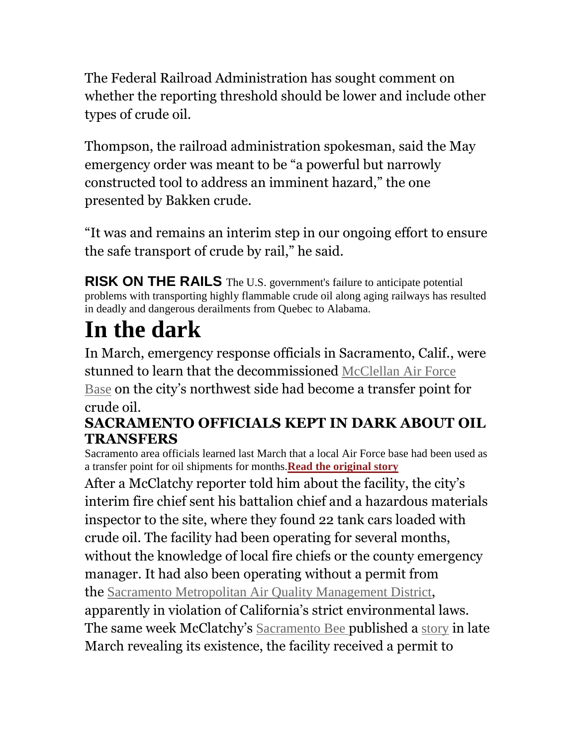The Federal Railroad Administration has sought comment on whether the reporting threshold should be lower and include other types of crude oil.

Thompson, the railroad administration spokesman, said the May emergency order was meant to be "a powerful but narrowly constructed tool to address an imminent hazard," the one presented by Bakken crude.

"It was and remains an interim step in our ongoing effort to ensure the safe transport of crude by rail," he said.

**RISK ON THE RAILS** The U.S. government's failure to anticipate potential problems with transporting highly flammable crude oil along aging railways has resulted in deadly and dangerous derailments from Quebec to Alabama.

# **In the dark**

In March, emergency response officials in Sacramento, Calif., were stunned to learn that the decommissioned McClellan Air Force Base on the city's northwest side had become a transfer point for crude oil.

#### **SACRAMENTO OFFICIALS KEPT IN DARK ABOUT OIL TRANSFERS**

Sacramento area officials learned last March that a local Air Force base had been used as a transfer point for oil shipments for months.**Read the original story**

After a McClatchy reporter told him about the facility, the city's interim fire chief sent his battalion chief and a hazardous materials inspector to the site, where they found 22 tank cars loaded with crude oil. The facility had been operating for several months, without the knowledge of local fire chiefs or the county emergency manager. It had also been operating without a permit from the Sacramento Metropolitan Air Quality Management District, apparently in violation of California's strict environmental laws. The same week McClatchy's Sacramento Bee published a story in late March revealing its existence, the facility received a permit to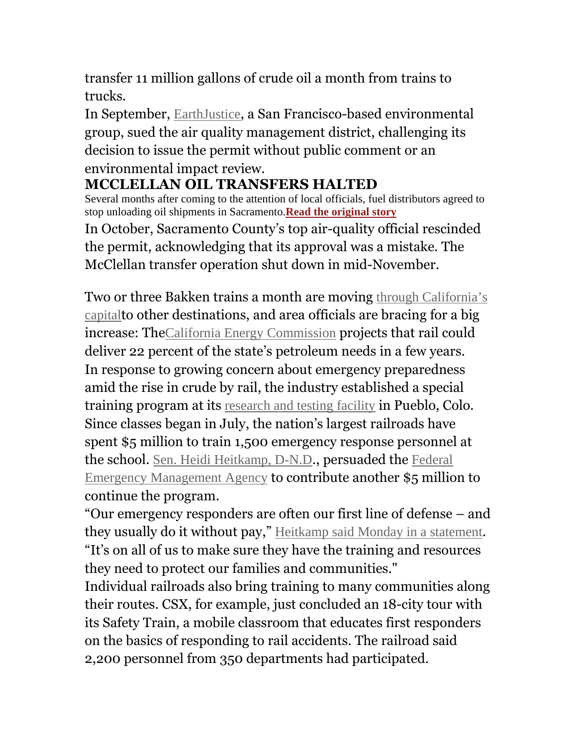transfer 11 million gallons of crude oil a month from trains to trucks.

In September, EarthJustice, a San Francisco-based environmental group, sued the air quality management district, challenging its decision to issue the permit without public comment or an environmental impact review.

#### **MCCLELLAN OIL TRANSFERS HALTED**

Several months after coming to the attention of local officials, fuel distributors agreed to stop unloading oil shipments in Sacramento.**Read the original story** In October, Sacramento County's top air-quality official rescinded the permit, acknowledging that its approval was a mistake. The McClellan transfer operation shut down in mid-November.

Two or three Bakken trains a month are moving through California's capitalto other destinations, and area officials are bracing for a big increase: TheCalifornia Energy Commission projects that rail could deliver 22 percent of the state's petroleum needs in a few years. In response to growing concern about emergency preparedness amid the rise in crude by rail, the industry established a special training program at its research and testing facility in Pueblo, Colo. Since classes began in July, the nation's largest railroads have spent \$5 million to train 1,500 emergency response personnel at the school. Sen. Heidi Heitkamp, D-N.D., persuaded the Federal Emergency Management Agency to contribute another \$5 million to continue the program.

"Our emergency responders are often our first line of defense – and they usually do it without pay," Heitkamp said Monday in a statement. "It's on all of us to make sure they have the training and resources they need to protect our families and communities."

Individual railroads also bring training to many communities along their routes. CSX, for example, just concluded an 18-city tour with its Safety Train, a mobile classroom that educates first responders on the basics of responding to rail accidents. The railroad said 2,200 personnel from 350 departments had participated.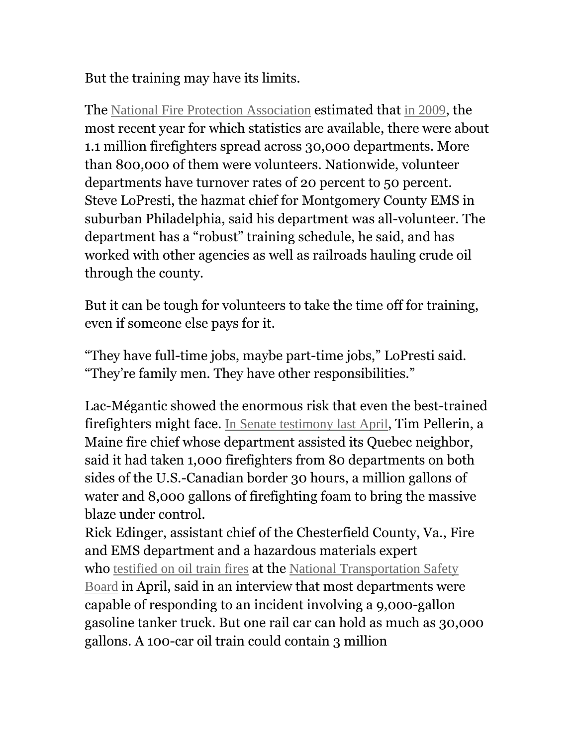But the training may have its limits.

The National Fire Protection Association estimated that in 2009, the most recent year for which statistics are available, there were about 1.1 million firefighters spread across 30,000 departments. More than 800,000 of them were volunteers. Nationwide, volunteer departments have turnover rates of 20 percent to 50 percent. Steve LoPresti, the hazmat chief for Montgomery County EMS in suburban Philadelphia, said his department was all-volunteer. The department has a "robust" training schedule, he said, and has worked with other agencies as well as railroads hauling crude oil through the county.

But it can be tough for volunteers to take the time off for training, even if someone else pays for it.

"They have full-time jobs, maybe part-time jobs," LoPresti said. "They're family men. They have other responsibilities."

Lac-Mégantic showed the enormous risk that even the best-trained firefighters might face. In Senate testimony last April, Tim Pellerin, a Maine fire chief whose department assisted its Quebec neighbor, said it had taken 1,000 firefighters from 80 departments on both sides of the U.S.-Canadian border 30 hours, a million gallons of water and 8,000 gallons of firefighting foam to bring the massive blaze under control.

Rick Edinger, assistant chief of the Chesterfield County, Va., Fire and EMS department and a hazardous materials expert who testified on oil train fires at the National Transportation Safety Board in April, said in an interview that most departments were capable of responding to an incident involving a 9,000-gallon gasoline tanker truck. But one rail car can hold as much as 30,000 gallons. A 100-car oil train could contain 3 million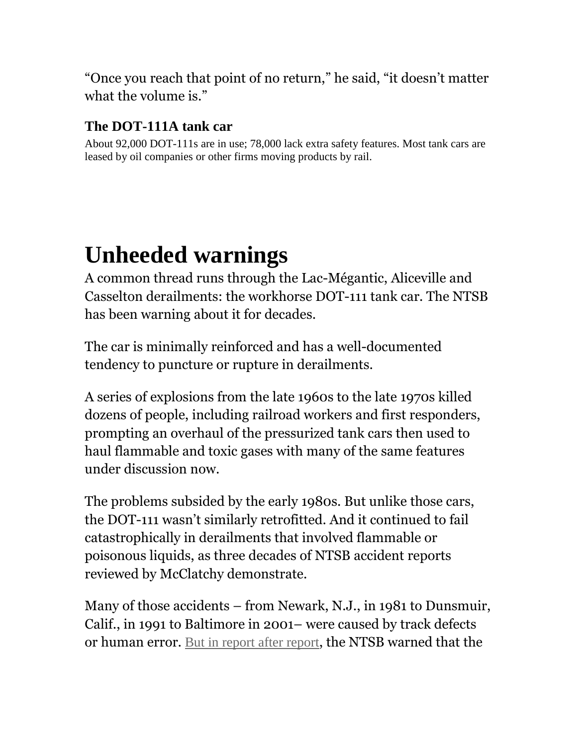"Once you reach that point of no return," he said, "it doesn't matter what the volume is."

#### **The DOT-111A tank car**

About 92,000 DOT-111s are in use; 78,000 lack extra safety features. Most tank cars are leased by oil companies or other firms moving products by rail.

### **Unheeded warnings**

A common thread runs through the Lac-Mégantic, Aliceville and Casselton derailments: the workhorse DOT-111 tank car. The NTSB has been warning about it for decades.

The car is minimally reinforced and has a well-documented tendency to puncture or rupture in derailments.

A series of explosions from the late 1960s to the late 1970s killed dozens of people, including railroad workers and first responders, prompting an overhaul of the pressurized tank cars then used to haul flammable and toxic gases with many of the same features under discussion now.

The problems subsided by the early 1980s. But unlike those cars, the DOT-111 wasn't similarly retrofitted. And it continued to fail catastrophically in derailments that involved flammable or poisonous liquids, as three decades of NTSB accident reports reviewed by McClatchy demonstrate.

Many of those accidents – from Newark, N.J., in 1981 to Dunsmuir, Calif., in 1991 to Baltimore in 2001– were caused by track defects or human error. But in report after report, the NTSB warned that the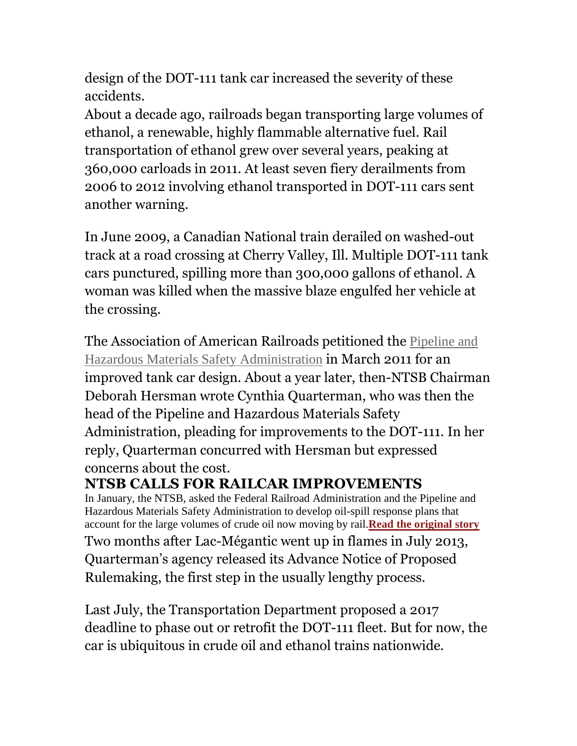design of the DOT-111 tank car increased the severity of these accidents.

About a decade ago, railroads began transporting large volumes of ethanol, a renewable, highly flammable alternative fuel. Rail transportation of ethanol grew over several years, peaking at 360,000 carloads in 2011. At least seven fiery derailments from 2006 to 2012 involving ethanol transported in DOT-111 cars sent another warning.

In June 2009, a Canadian National train derailed on washed-out track at a road crossing at Cherry Valley, Ill. Multiple DOT-111 tank cars punctured, spilling more than 300,000 gallons of ethanol. A woman was killed when the massive blaze engulfed her vehicle at the crossing.

The Association of American Railroads petitioned the Pipeline and Hazardous Materials Safety Administration in March 2011 for an improved tank car design. About a year later, then-NTSB Chairman Deborah Hersman wrote Cynthia Quarterman, who was then the head of the Pipeline and Hazardous Materials Safety Administration, pleading for improvements to the DOT-111. In her reply, Quarterman concurred with Hersman but expressed concerns about the cost.

#### **NTSB CALLS FOR RAILCAR IMPROVEMENTS**

In January, the NTSB, asked the Federal Railroad Administration and the Pipeline and Hazardous Materials Safety Administration to develop oil-spill response plans that account for the large volumes of crude oil now moving by rail.**Read the original story** Two months after Lac-Mégantic went up in flames in July 2013, Quarterman's agency released its Advance Notice of Proposed Rulemaking, the first step in the usually lengthy process.

Last July, the Transportation Department proposed a 2017 deadline to phase out or retrofit the DOT-111 fleet. But for now, the car is ubiquitous in crude oil and ethanol trains nationwide.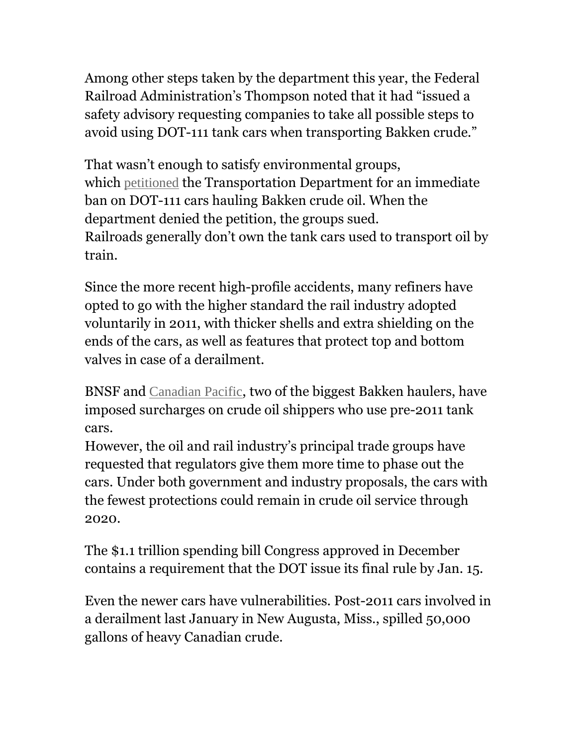Among other steps taken by the department this year, the Federal Railroad Administration's Thompson noted that it had "issued a safety advisory requesting companies to take all possible steps to avoid using DOT-111 tank cars when transporting Bakken crude."

That wasn't enough to satisfy environmental groups, which petitioned the Transportation Department for an immediate ban on DOT-111 cars hauling Bakken crude oil. When the department denied the petition, the groups sued. Railroads generally don't own the tank cars used to transport oil by train.

Since the more recent high-profile accidents, many refiners have opted to go with the higher standard the rail industry adopted voluntarily in 2011, with thicker shells and extra shielding on the ends of the cars, as well as features that protect top and bottom valves in case of a derailment.

BNSF and Canadian Pacific, two of the biggest Bakken haulers, have imposed surcharges on crude oil shippers who use pre-2011 tank cars.

However, the oil and rail industry's principal trade groups have requested that regulators give them more time to phase out the cars. Under both government and industry proposals, the cars with the fewest protections could remain in crude oil service through 2020.

The \$1.1 trillion spending bill Congress approved in December contains a requirement that the DOT issue its final rule by Jan. 15.

Even the newer cars have vulnerabilities. Post-2011 cars involved in a derailment last January in New Augusta, Miss., spilled 50,000 gallons of heavy Canadian crude.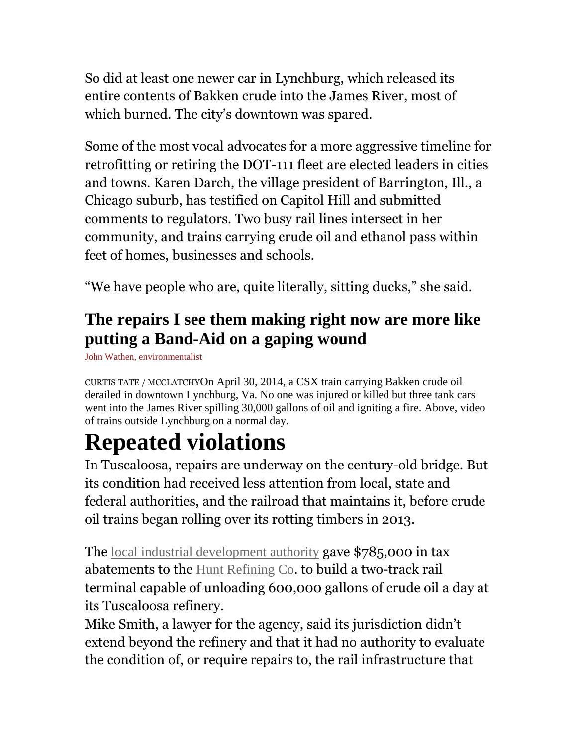So did at least one newer car in Lynchburg, which released its entire contents of Bakken crude into the James River, most of which burned. The city's downtown was spared.

Some of the most vocal advocates for a more aggressive timeline for retrofitting or retiring the DOT-111 fleet are elected leaders in cities and towns. Karen Darch, the village president of Barrington, Ill., a Chicago suburb, has testified on Capitol Hill and submitted comments to regulators. Two busy rail lines intersect in her community, and trains carrying crude oil and ethanol pass within feet of homes, businesses and schools.

"We have people who are, quite literally, sitting ducks," she said.

#### **The repairs I see them making right now are more like putting a Band-Aid on a gaping wound**

John Wathen, environmentalist

CURTIS TATE / MCCLATCHYOn April 30, 2014, a CSX train carrying Bakken crude oil derailed in downtown Lynchburg, Va. No one was injured or killed but three tank cars went into the James River spilling 30,000 gallons of oil and igniting a fire. Above, video of trains outside Lynchburg on a normal day.

### **Repeated violations**

In Tuscaloosa, repairs are underway on the century-old bridge. But its condition had received less attention from local, state and federal authorities, and the railroad that maintains it, before crude oil trains began rolling over its rotting timbers in 2013.

The local industrial development authority gave \$785,000 in tax abatements to the Hunt Refining Co. to build a two-track rail terminal capable of unloading 600,000 gallons of crude oil a day at its Tuscaloosa refinery.

Mike Smith, a lawyer for the agency, said its jurisdiction didn't extend beyond the refinery and that it had no authority to evaluate the condition of, or require repairs to, the rail infrastructure that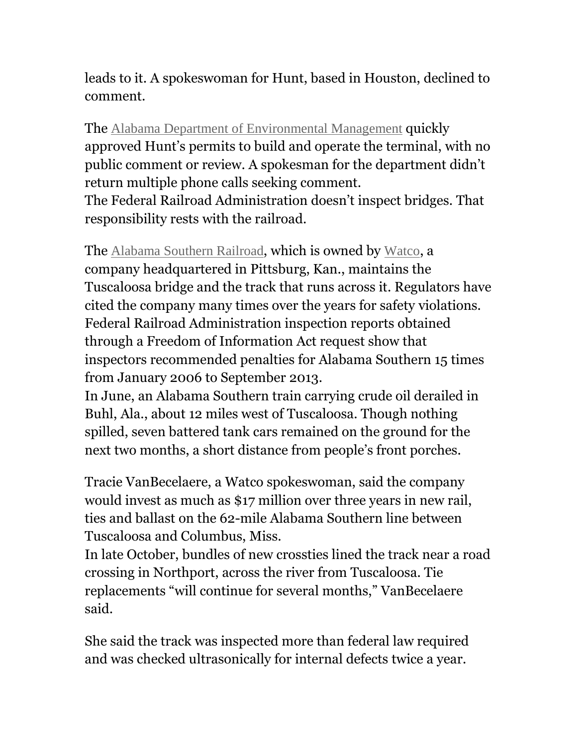leads to it. A spokeswoman for Hunt, based in Houston, declined to comment.

The Alabama Department of Environmental Management quickly approved Hunt's permits to build and operate the terminal, with no public comment or review. A spokesman for the department didn't return multiple phone calls seeking comment.

The Federal Railroad Administration doesn't inspect bridges. That responsibility rests with the railroad.

The Alabama Southern Railroad, which is owned by Watco, a company headquartered in Pittsburg, Kan., maintains the Tuscaloosa bridge and the track that runs across it. Regulators have cited the company many times over the years for safety violations. Federal Railroad Administration inspection reports obtained through a Freedom of Information Act request show that inspectors recommended penalties for Alabama Southern 15 times from January 2006 to September 2013.

In June, an Alabama Southern train carrying crude oil derailed in Buhl, Ala., about 12 miles west of Tuscaloosa. Though nothing spilled, seven battered tank cars remained on the ground for the next two months, a short distance from people's front porches.

Tracie VanBecelaere, a Watco spokeswoman, said the company would invest as much as \$17 million over three years in new rail, ties and ballast on the 62-mile Alabama Southern line between Tuscaloosa and Columbus, Miss.

In late October, bundles of new crossties lined the track near a road crossing in Northport, across the river from Tuscaloosa. Tie replacements "will continue for several months," VanBecelaere said.

She said the track was inspected more than federal law required and was checked ultrasonically for internal defects twice a year.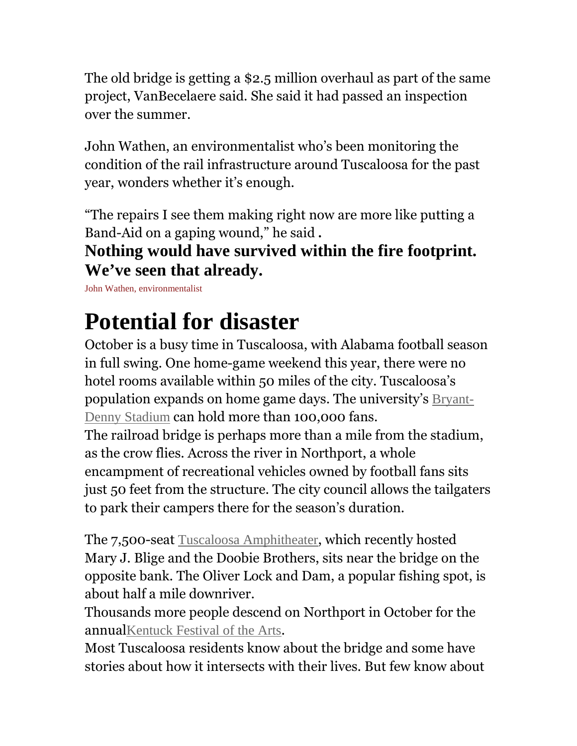The old bridge is getting a \$2.5 million overhaul as part of the same project, VanBecelaere said. She said it had passed an inspection over the summer.

John Wathen, an environmentalist who's been monitoring the condition of the rail infrastructure around Tuscaloosa for the past year, wonders whether it's enough.

"The repairs I see them making right now are more like putting a Band-Aid on a gaping wound," he said **.**

#### **Nothing would have survived within the fire footprint. We've seen that already.**

John Wathen, environmentalist

## **Potential for disaster**

October is a busy time in Tuscaloosa, with Alabama football season in full swing. One home-game weekend this year, there were no hotel rooms available within 50 miles of the city. Tuscaloosa's population expands on home game days. The university's Bryant-Denny Stadium can hold more than 100,000 fans.

The railroad bridge is perhaps more than a mile from the stadium, as the crow flies. Across the river in Northport, a whole encampment of recreational vehicles owned by football fans sits just 50 feet from the structure. The city council allows the tailgaters to park their campers there for the season's duration.

The 7,500-seat Tuscaloosa Amphitheater, which recently hosted Mary J. Blige and the Doobie Brothers, sits near the bridge on the opposite bank. The Oliver Lock and Dam, a popular fishing spot, is about half a mile downriver.

Thousands more people descend on Northport in October for the annualKentuck Festival of the Arts.

Most Tuscaloosa residents know about the bridge and some have stories about how it intersects with their lives. But few know about